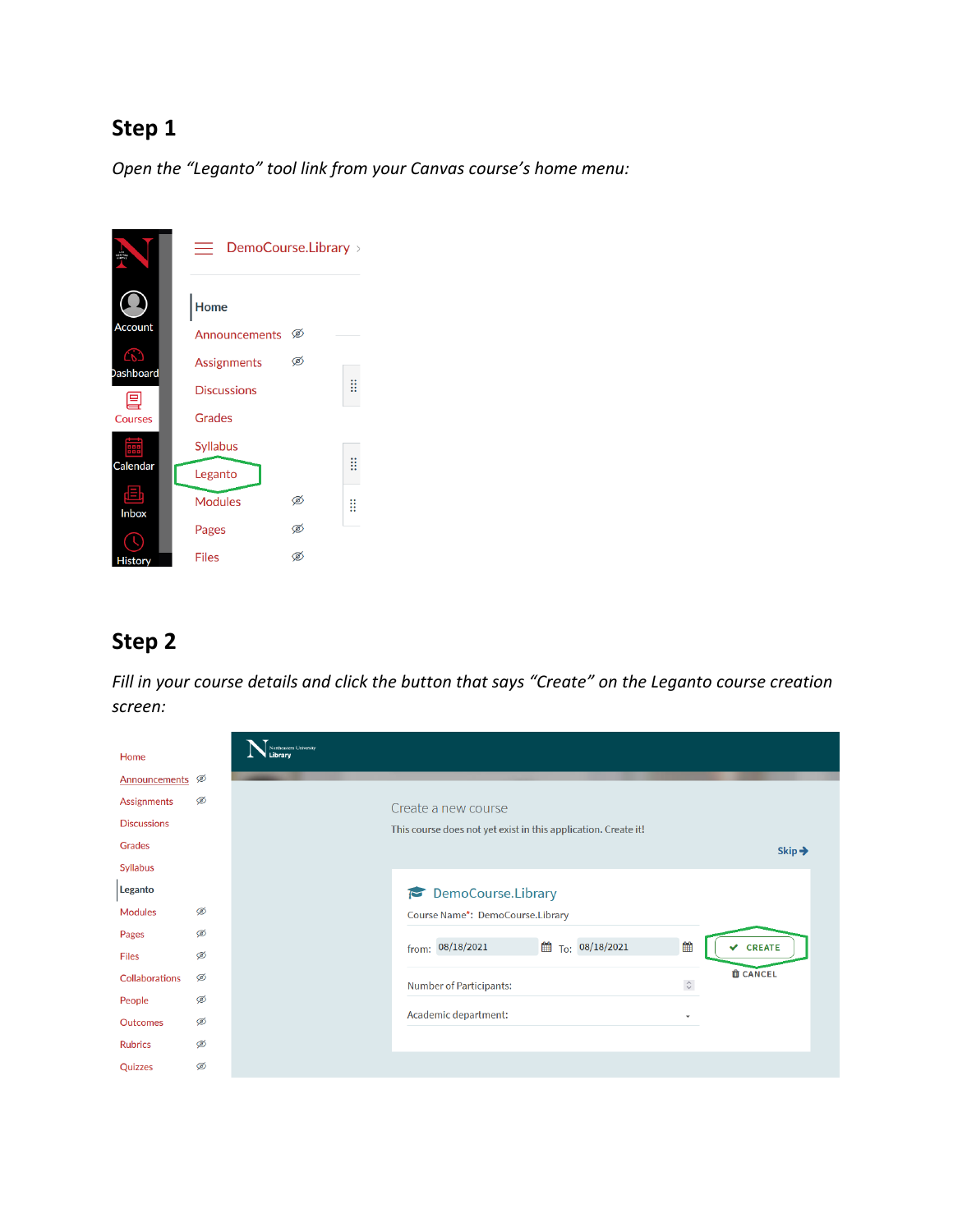*Open the "Leganto" tool link from your Canvas course's home menu:*



#### **Step 2**

*Fill in your course details and click the button that says "Create" on the Leganto course creation screen:* 

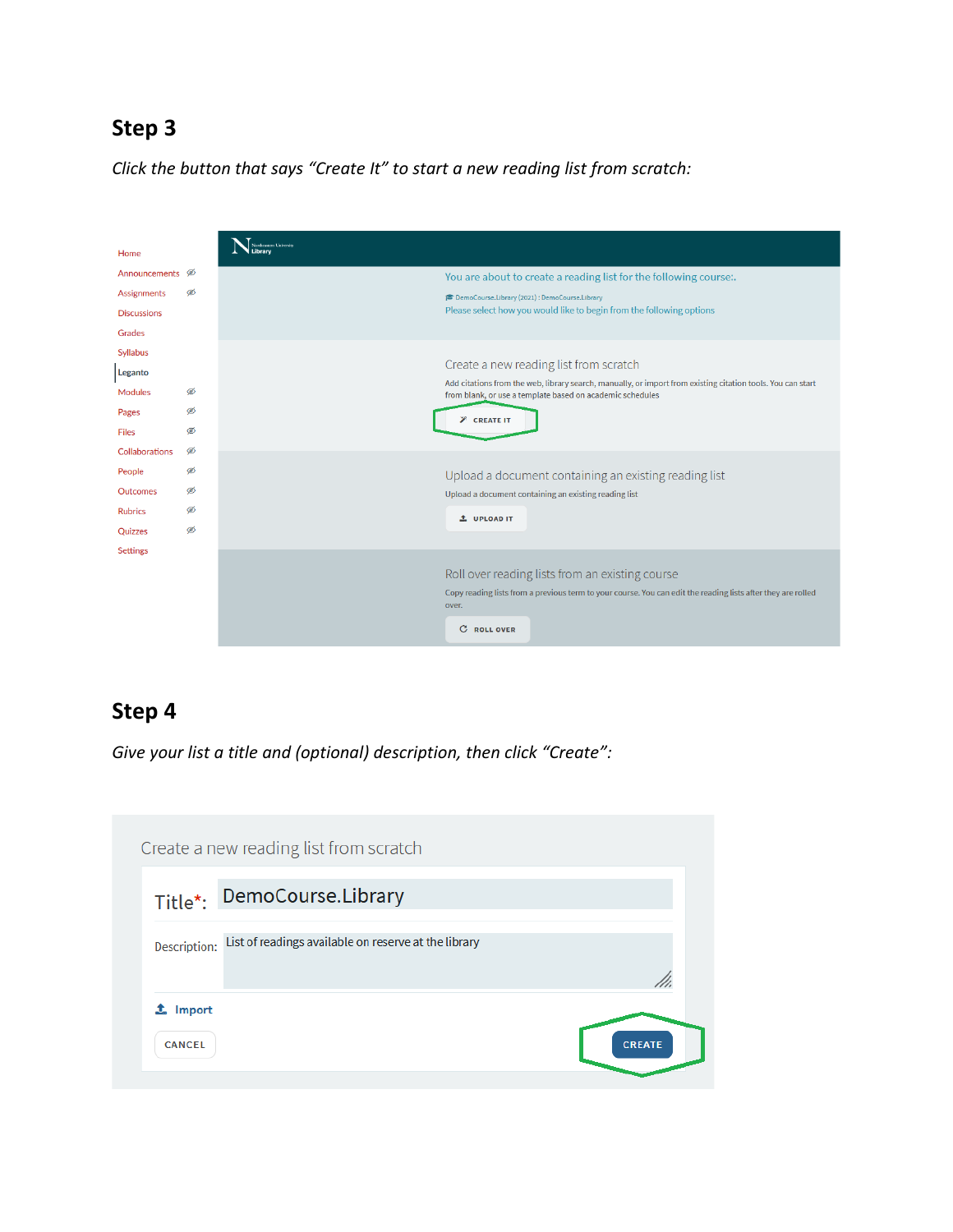*Click the button that says "Create It" to start a new reading list from scratch:* 

| Home                        |   |                                                                                                                                                                                                   |
|-----------------------------|---|---------------------------------------------------------------------------------------------------------------------------------------------------------------------------------------------------|
| Announcements <sup>56</sup> |   | You are about to create a reading list for the following course:.                                                                                                                                 |
| <b>Assignments</b>          | Ø | DemoCourse.Library (2021) : DemoCourse.Library                                                                                                                                                    |
| <b>Discussions</b>          |   | Please select how you would like to begin from the following options                                                                                                                              |
| Grades                      |   |                                                                                                                                                                                                   |
| <b>Syllabus</b><br>Leganto  |   | Create a new reading list from scratch                                                                                                                                                            |
| <b>Modules</b>              | Ø | Add citations from the web, library search, manually, or import from existing citation tools. You can start<br>from blank, or use a template based on academic schedules                          |
| Pages                       | Ø | <b><i>P</i></b> CREATE IT                                                                                                                                                                         |
| <b>Files</b>                | Ø |                                                                                                                                                                                                   |
| <b>Collaborations</b>       | ø |                                                                                                                                                                                                   |
| People                      | ø | Upload a document containing an existing reading list                                                                                                                                             |
| <b>Outcomes</b>             | ණ | Upload a document containing an existing reading list                                                                                                                                             |
| <b>Rubrics</b>              | ø | <b>1</b> UPLOAD IT                                                                                                                                                                                |
| Quizzes                     | Ø |                                                                                                                                                                                                   |
| <b>Settings</b>             |   |                                                                                                                                                                                                   |
|                             |   | Roll over reading lists from an existing course<br>Copy reading lists from a previous term to your course. You can edit the reading lists after they are rolled<br>over.<br>c<br><b>ROLL OVER</b> |
|                             |   |                                                                                                                                                                                                   |

## **Step 4**

*Give your list a title and (optional) description, then click "Create":*

|               | Create a new reading list from scratch               |               |
|---------------|------------------------------------------------------|---------------|
|               | Title*: DemoCourse.Library                           |               |
| Description:  | List of readings available on reserve at the library |               |
| Import        |                                                      |               |
| <b>CANCEL</b> |                                                      | <b>CREATE</b> |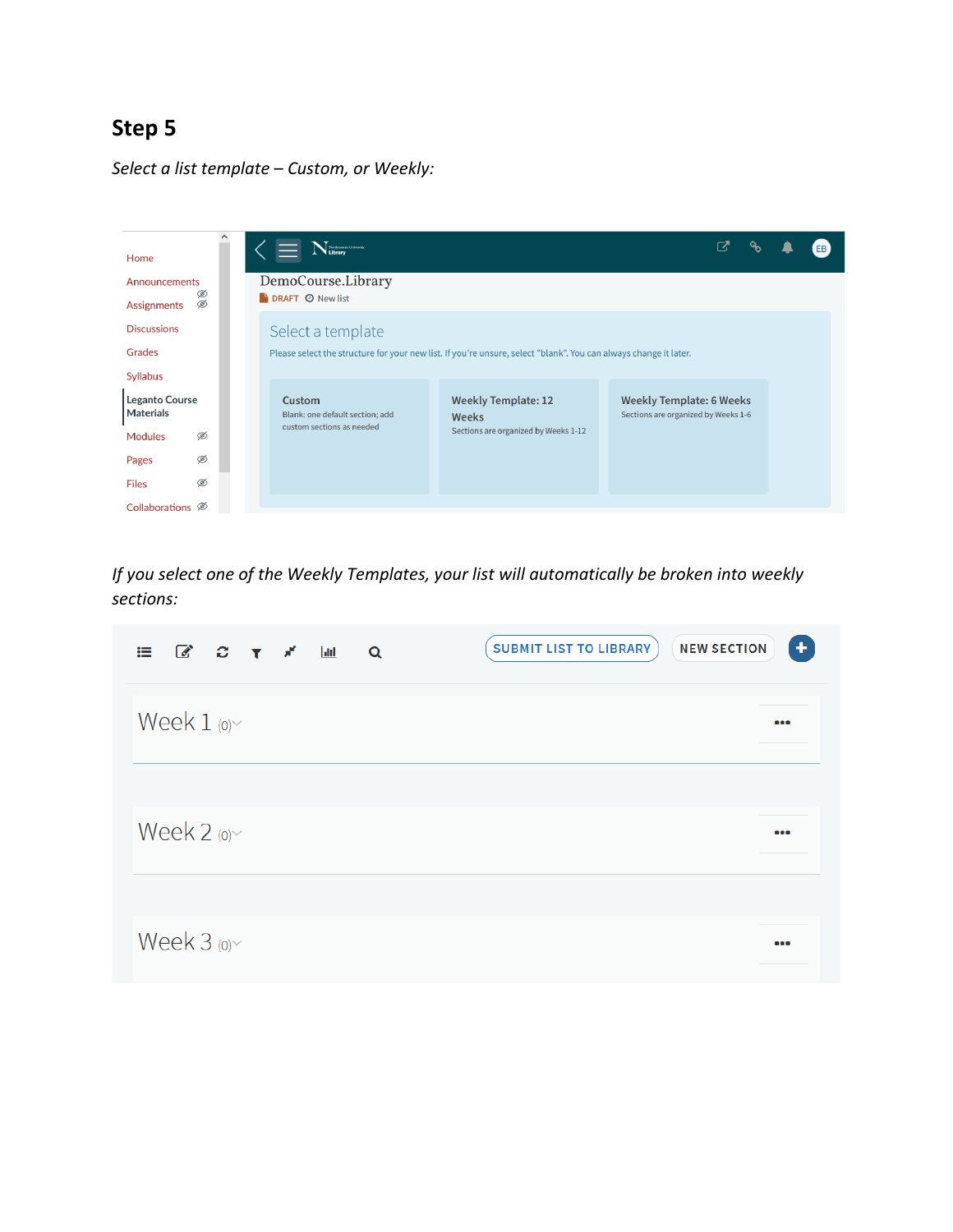*Select a list template – Custom, or Weekly:* 



*If you select one of the Weekly Templates, your list will automatically be broken into weekly sections:* 

| $\mathbb{C}$ $\mathbb{C}$ $\mathbb{T}$ $\mathbb{X}$<br>$ $ dıl<br>這<br>$\alpha$ | ٠<br><b>NEW SECTION</b><br><b>SUBMIT LIST TO LIBRARY</b> |
|---------------------------------------------------------------------------------|----------------------------------------------------------|
| Week $1$ (o) $\sim$                                                             | $\bullet \bullet \bullet$                                |
| Week $2$ (o) $\sim$                                                             |                                                          |
| Week $3$ (o) $\sim$                                                             | $\bullet$                                                |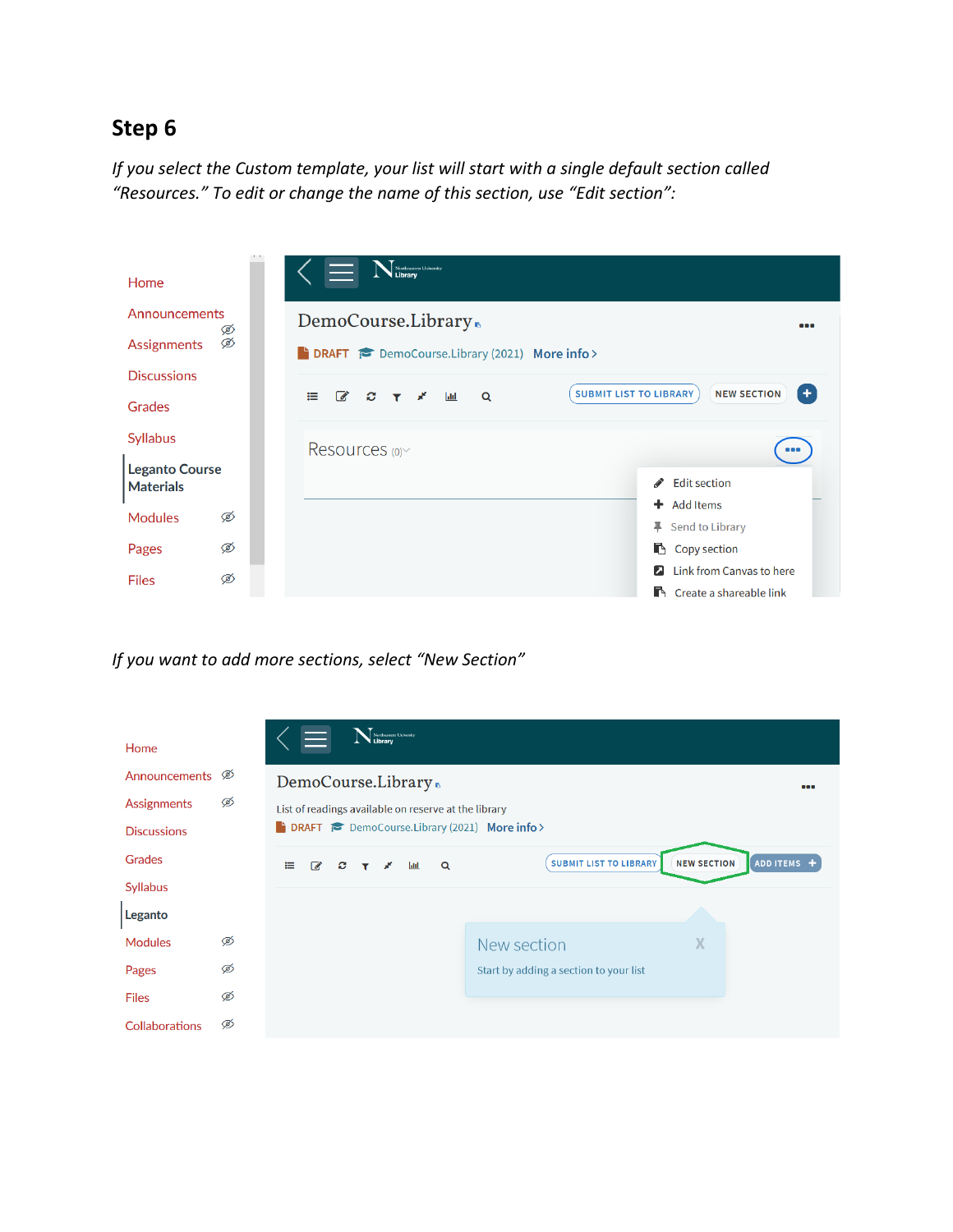*If you select the Custom template, your list will start with a single default section called "Resources." To edit or change the name of this section, use "Edit section":*

| Home                                      |   | Northeastern University                                                                        |                         |
|-------------------------------------------|---|------------------------------------------------------------------------------------------------|-------------------------|
| Announcements                             | Ø | DemoCourse.Library.                                                                            | 888                     |
| Ø<br><b>Assignments</b>                   |   | <b>EDRAFT POD</b> DemoCourse.Library (2021) More info >                                        |                         |
| <b>Discussions</b>                        |   |                                                                                                |                         |
| Grades                                    |   | <b>SUBMIT LIST TO LIBRARY</b><br>$\overline{\mathscr{A}}$<br>$\alpha$<br>這<br><b>Jaki</b><br>ø | <b>NEW SECTION</b><br>÷ |
| <b>Syllabus</b>                           |   | Resources (0)                                                                                  |                         |
| <b>Leganto Course</b><br><b>Materials</b> |   | <b>Edit section</b><br>s.                                                                      |                         |
| <b>Modules</b>                            | Ø | $\div$ Add Items<br>Į.<br>Send to Library                                                      |                         |
| Pages                                     | Ø | Copy section                                                                                   |                         |
| <b>Files</b>                              | Ø | <b>2</b> Link from Canvas to here<br><b>R</b> Create a shareable link                          |                         |

*If you want to add more sections, select "New Section"*

| Home                                          |   | Northeastern University<br>$\equiv$                                                                                  |  |
|-----------------------------------------------|---|----------------------------------------------------------------------------------------------------------------------|--|
| Announcements <sup><math>\oslash</math></sup> |   | DemoCourse.Library<br>888                                                                                            |  |
| <b>Assignments</b>                            | Ø | List of readings available on reserve at the library                                                                 |  |
| <b>Discussions</b>                            |   | <b>EXECUTE:</b> DemoCourse.Library (2021) More info >                                                                |  |
| Grades                                        |   | ADD ITEMS +<br><b>NEW SECTION</b><br><b>SUBMIT LIST TO LIBRARY</b><br>Q<br>這<br>$\overrightarrow{a}$<br>$ $ did<br>c |  |
| <b>Syllabus</b>                               |   |                                                                                                                      |  |
| Leganto                                       |   |                                                                                                                      |  |
| <b>Modules</b>                                | Ø | X<br>New section                                                                                                     |  |
| Pages                                         | Ø | Start by adding a section to your list                                                                               |  |
| <b>Files</b>                                  | Ø |                                                                                                                      |  |
| <b>Collaborations</b>                         | Ø |                                                                                                                      |  |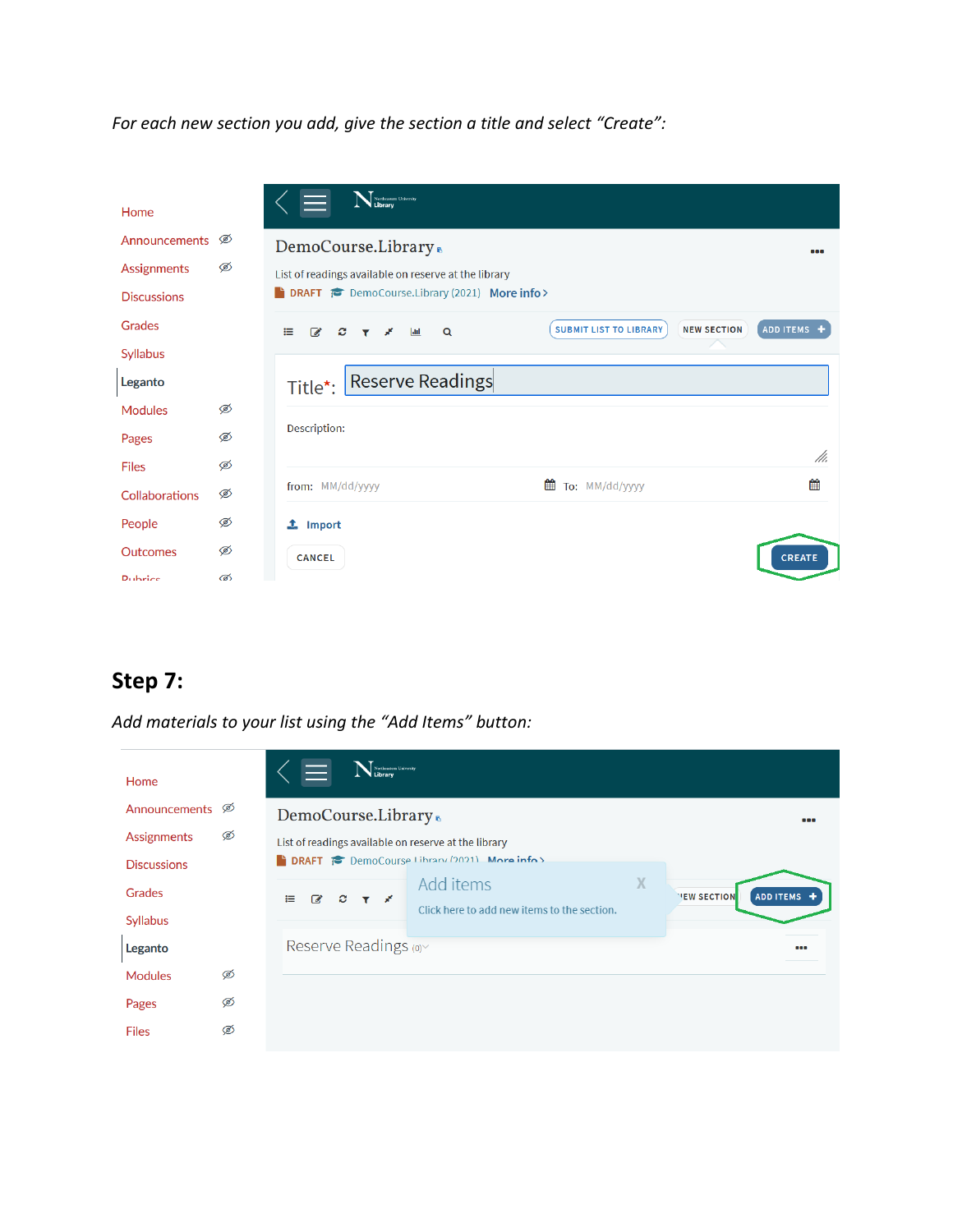*For each new section you add, give the section a title and select "Create":*

| Home                  |   | Nethcastern University                                                                                            |                  |
|-----------------------|---|-------------------------------------------------------------------------------------------------------------------|------------------|
| Announcements         | Ø | DemoCourse.Library.                                                                                               | œ                |
| Assignments           | Ø | List of readings available on reserve at the library                                                              |                  |
| <b>Discussions</b>    |   | <b>EXECUTE:</b> DemoCourse.Library (2021) More info >                                                             |                  |
| Grades                |   | <b>NEW SECTION</b><br><b>SUBMIT LIST TO LIBRARY</b><br>這<br>$\alpha$<br>$\overline{\mathscr{A}}$<br>c<br>$ $ alıl | <b>ADD ITEMS</b> |
| <b>Syllabus</b>       |   |                                                                                                                   |                  |
| Leganto               |   | Reserve Readings<br>Title*:                                                                                       |                  |
| <b>Modules</b>        | Ø |                                                                                                                   |                  |
| Pages                 | Ø | Description:                                                                                                      |                  |
| <b>Files</b>          | Ø |                                                                                                                   | M.               |
| <b>Collaborations</b> | Ø | 雦<br>To: MM/dd/yyyy<br>from: MM/dd/yyyy                                                                           | 龤                |
| People                | Ø | $\mathbf{\mathbf{\underline{t}}}$ Import                                                                          |                  |
| <b>Outcomes</b>       | Ø | <b>CANCEL</b>                                                                                                     | <b>CREATE</b>    |
| <b>Dubrice</b>        | ൽ |                                                                                                                   |                  |

### **Step 7:**

*Add materials to your list using the "Add Items" button:*

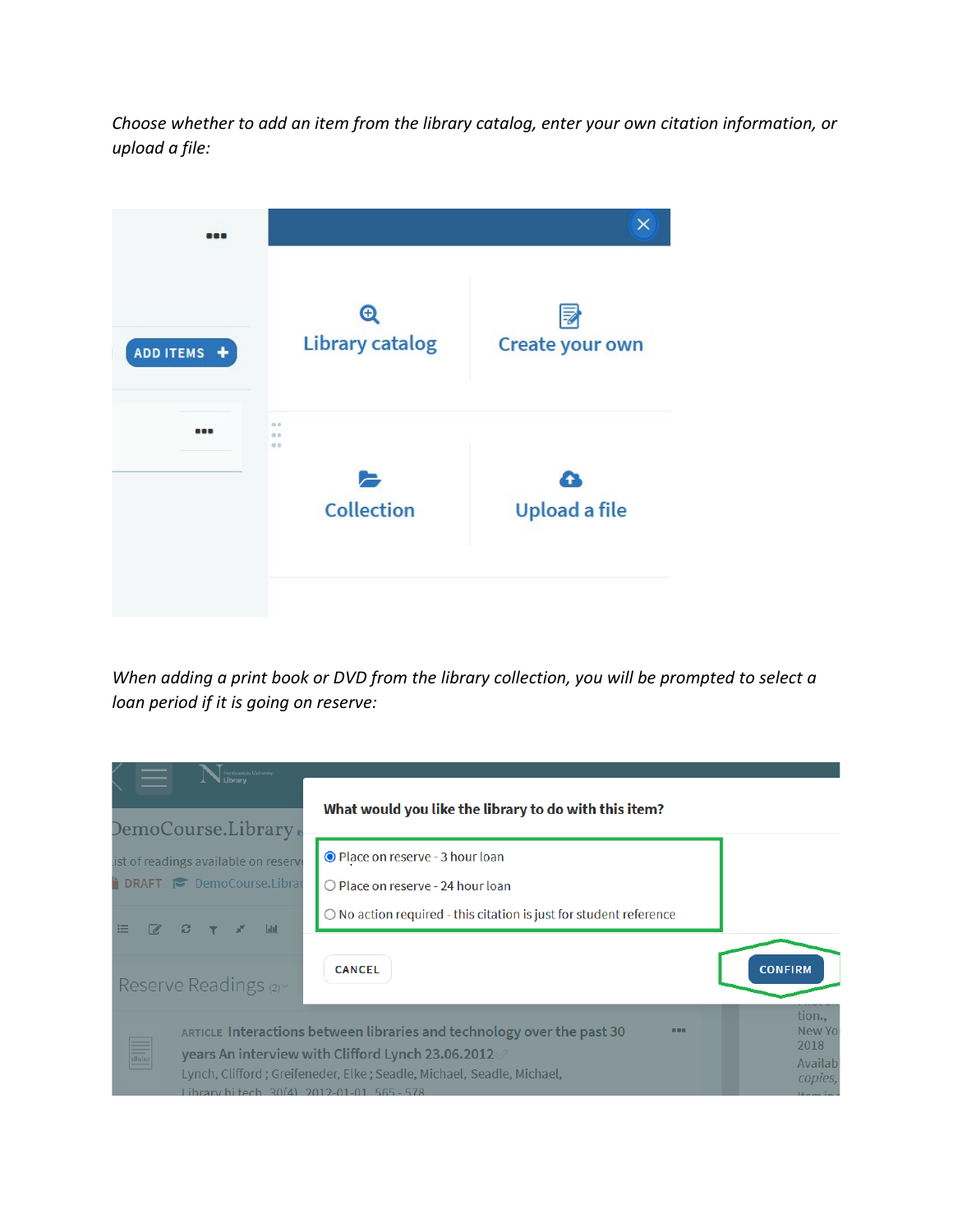*Choose whether to add an item from the library catalog, enter your own citation information, or upload a file:* 



*When adding a print book or DVD from the library collection, you will be prompted to select a loan period if it is going on reserve:*

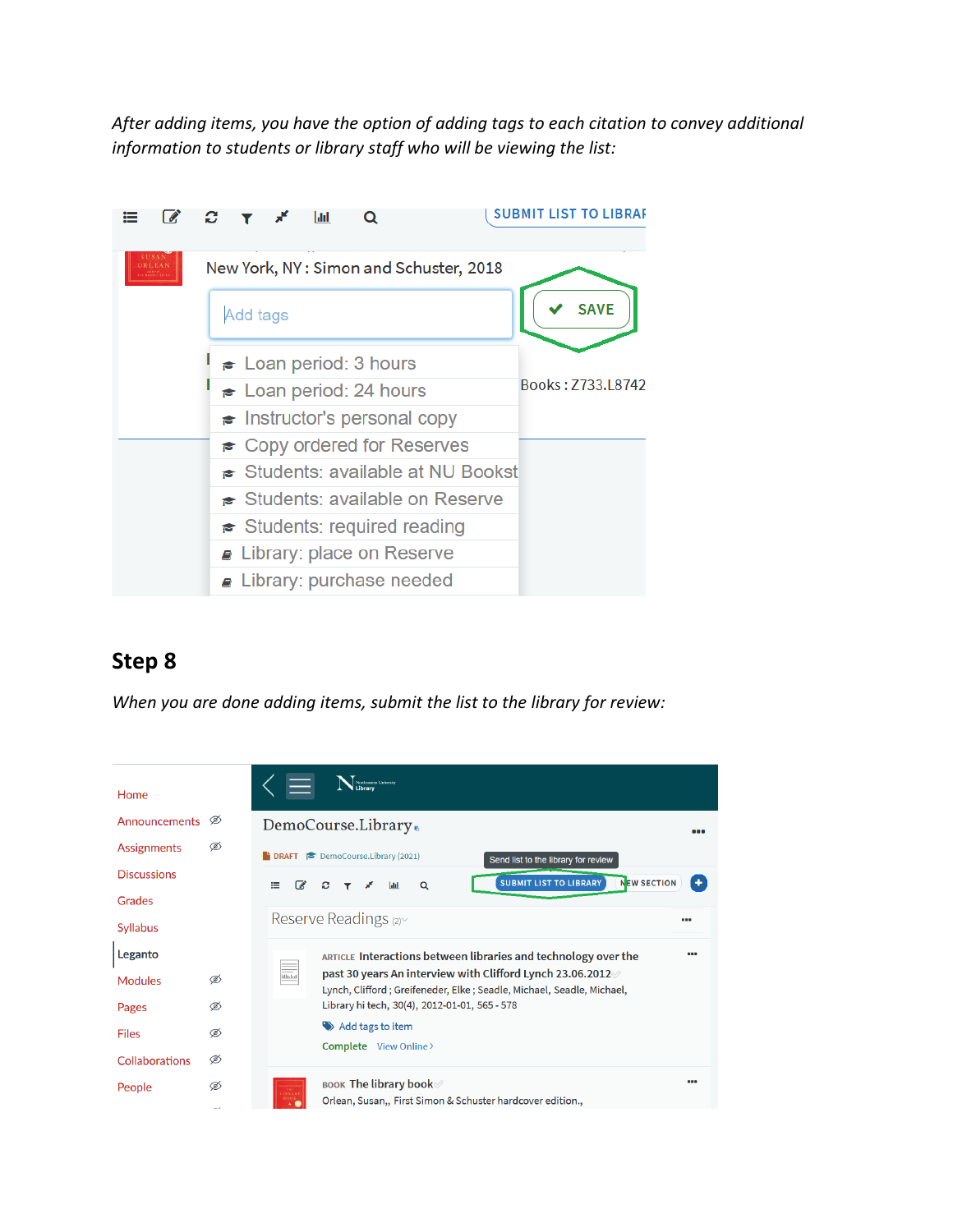*After adding items, you have the option of adding tags to each citation to convey additional information to students or library staff who will be viewing the list:*



## **Step 8**

*When you are done adding items, submit the list to the library for review:*